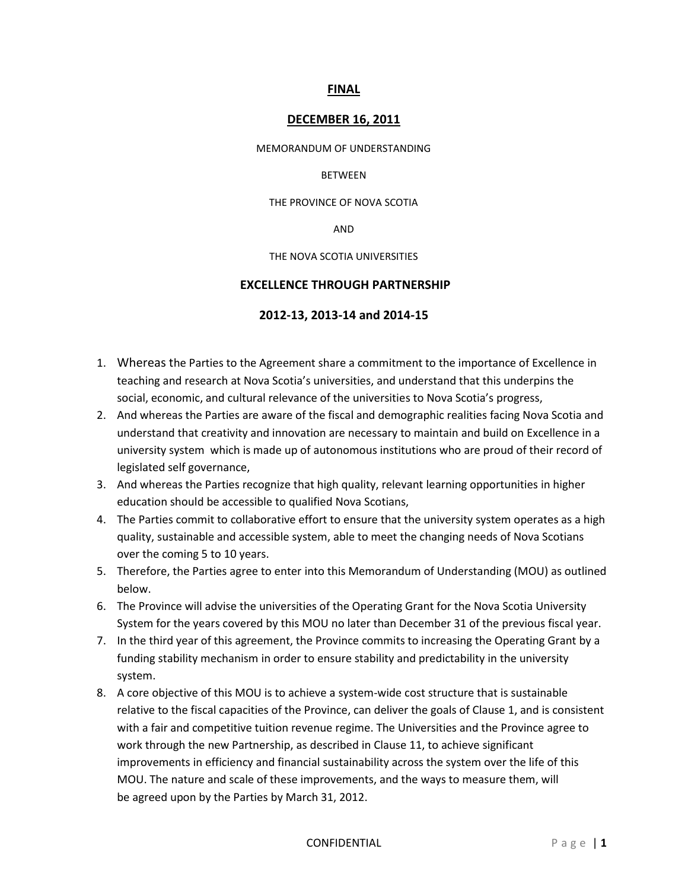## **FINAL**

## **DECEMBER 16, 2011**

MEMORANDUM OF UNDERSTANDING

#### BETWEEN

THE PROVINCE OF NOVA SCOTIA

AND

THE NOVA SCOTIA UNIVERSITIES

## **EXCELLENCE THROUGH PARTNERSHIP**

## **2012-13, 2013-14 and 2014-15**

- 1. Whereas the Parties to the Agreement share a commitment to the importance of Excellence in teaching and research at Nova Scotia's universities, and understand that this underpins the social, economic, and cultural relevance of the universities to Nova Scotia's progress,
- 2. And whereas the Parties are aware of the fiscal and demographic realities facing Nova Scotia and understand that creativity and innovation are necessary to maintain and build on Excellence in a university system which is made up of autonomous institutions who are proud of their record of legislated self governance,
- 3. And whereas the Parties recognize that high quality, relevant learning opportunities in higher education should be accessible to qualified Nova Scotians,
- 4. The Parties commit to collaborative effort to ensure that the university system operates as a high quality, sustainable and accessible system, able to meet the changing needs of Nova Scotians over the coming 5 to 10 years.
- 5. Therefore, the Parties agree to enter into this Memorandum of Understanding (MOU) as outlined below.
- 6. The Province will advise the universities of the Operating Grant for the Nova Scotia University System for the years covered by this MOU no later than December 31 of the previous fiscal year.
- 7. In the third year of this agreement, the Province commits to increasing the Operating Grant by a funding stability mechanism in order to ensure stability and predictability in the university system.
- 8. A core objective of this MOU is to achieve a system-wide cost structure that is sustainable relative to the fiscal capacities of the Province, can deliver the goals of Clause 1, and is consistent with a fair and competitive tuition revenue regime. The Universities and the Province agree to work through the new Partnership, as described in Clause 11, to achieve significant improvements in efficiency and financial sustainability across the system over the life of this MOU. The nature and scale of these improvements, and the ways to measure them, will be agreed upon by the Parties by March 31, 2012.

#### CONFIDENTIAL Page | 1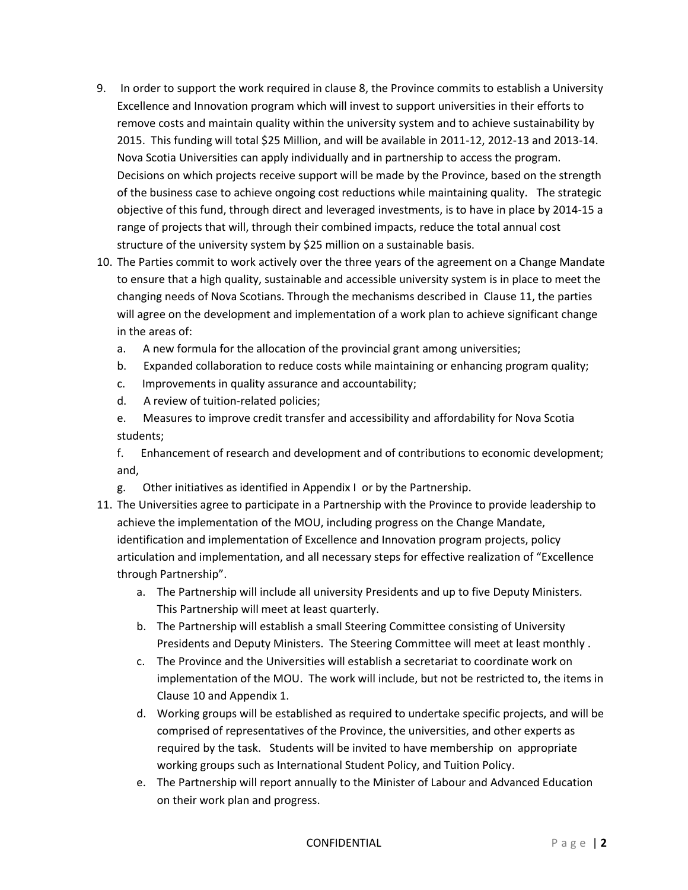- 9. In order to support the work required in clause 8, the Province commits to establish a University Excellence and Innovation program which will invest to support universities in their efforts to remove costs and maintain quality within the university system and to achieve sustainability by 2015. This funding will total \$25 Million, and will be available in 2011-12, 2012-13 and 2013-14. Nova Scotia Universities can apply individually and in partnership to access the program. Decisions on which projects receive support will be made by the Province, based on the strength of the business case to achieve ongoing cost reductions while maintaining quality. The strategic objective of this fund, through direct and leveraged investments, is to have in place by 2014-15 a range of projects that will, through their combined impacts, reduce the total annual cost structure of the university system by \$25 million on a sustainable basis.
- 10. The Parties commit to work actively over the three years of the agreement on a Change Mandate to ensure that a high quality, sustainable and accessible university system is in place to meet the changing needs of Nova Scotians. Through the mechanisms described in Clause 11, the parties will agree on the development and implementation of a work plan to achieve significant change in the areas of:
	- a. A new formula for the allocation of the provincial grant among universities;
	- b. Expanded collaboration to reduce costs while maintaining or enhancing program quality;
	- c. Improvements in quality assurance and accountability;
	- d. A review of tuition-related policies;
	- e. Measures to improve credit transfer and accessibility and affordability for Nova Scotia students;

f. Enhancement of research and development and of contributions to economic development; and,

- g. Other initiatives as identified in Appendix I or by the Partnership.
- 11. The Universities agree to participate in a Partnership with the Province to provide leadership to achieve the implementation of the MOU, including progress on the Change Mandate, identification and implementation of Excellence and Innovation program projects, policy articulation and implementation, and all necessary steps for effective realization of "Excellence through Partnership".
	- a. The Partnership will include all university Presidents and up to five Deputy Ministers. This Partnership will meet at least quarterly.
	- b. The Partnership will establish a small Steering Committee consisting of University Presidents and Deputy Ministers. The Steering Committee will meet at least monthly .
	- c. The Province and the Universities will establish a secretariat to coordinate work on implementation of the MOU. The work will include, but not be restricted to, the items in Clause 10 and Appendix 1.
	- d. Working groups will be established as required to undertake specific projects, and will be comprised of representatives of the Province, the universities, and other experts as required by the task. Students will be invited to have membership on appropriate working groups such as International Student Policy, and Tuition Policy.
	- e. The Partnership will report annually to the Minister of Labour and Advanced Education on their work plan and progress.

#### CONFIDENTIAL P a g e | **2**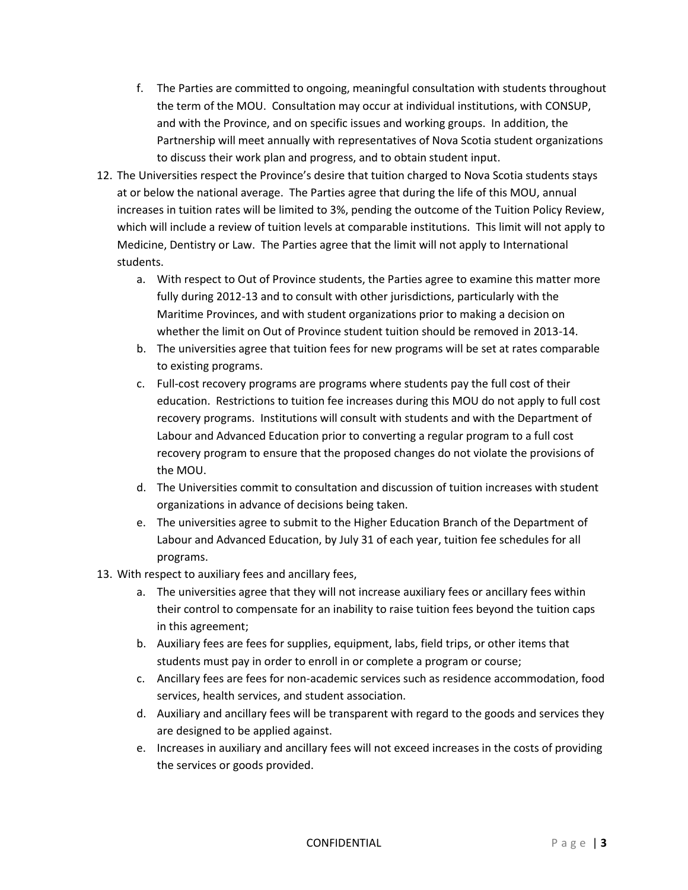- f. The Parties are committed to ongoing, meaningful consultation with students throughout the term of the MOU. Consultation may occur at individual institutions, with CONSUP, and with the Province, and on specific issues and working groups. In addition, the Partnership will meet annually with representatives of Nova Scotia student organizations to discuss their work plan and progress, and to obtain student input.
- 12. The Universities respect the Province's desire that tuition charged to Nova Scotia students stays at or below the national average. The Parties agree that during the life of this MOU, annual increases in tuition rates will be limited to 3%, pending the outcome of the Tuition Policy Review, which will include a review of tuition levels at comparable institutions. This limit will not apply to Medicine, Dentistry or Law. The Parties agree that the limit will not apply to International students.
	- a. With respect to Out of Province students, the Parties agree to examine this matter more fully during 2012-13 and to consult with other jurisdictions, particularly with the Maritime Provinces, and with student organizations prior to making a decision on whether the limit on Out of Province student tuition should be removed in 2013-14.
	- b. The universities agree that tuition fees for new programs will be set at rates comparable to existing programs.
	- c. Full-cost recovery programs are programs where students pay the full cost of their education. Restrictions to tuition fee increases during this MOU do not apply to full cost recovery programs. Institutions will consult with students and with the Department of Labour and Advanced Education prior to converting a regular program to a full cost recovery program to ensure that the proposed changes do not violate the provisions of the MOU.
	- d. The Universities commit to consultation and discussion of tuition increases with student organizations in advance of decisions being taken.
	- e. The universities agree to submit to the Higher Education Branch of the Department of Labour and Advanced Education, by July 31 of each year, tuition fee schedules for all programs.
- 13. With respect to auxiliary fees and ancillary fees,
	- a. The universities agree that they will not increase auxiliary fees or ancillary fees within their control to compensate for an inability to raise tuition fees beyond the tuition caps in this agreement;
	- b. Auxiliary fees are fees for supplies, equipment, labs, field trips, or other items that students must pay in order to enroll in or complete a program or course;
	- c. Ancillary fees are fees for non-academic services such as residence accommodation, food services, health services, and student association.
	- d. Auxiliary and ancillary fees will be transparent with regard to the goods and services they are designed to be applied against.
	- e. Increases in auxiliary and ancillary fees will not exceed increases in the costs of providing the services or goods provided.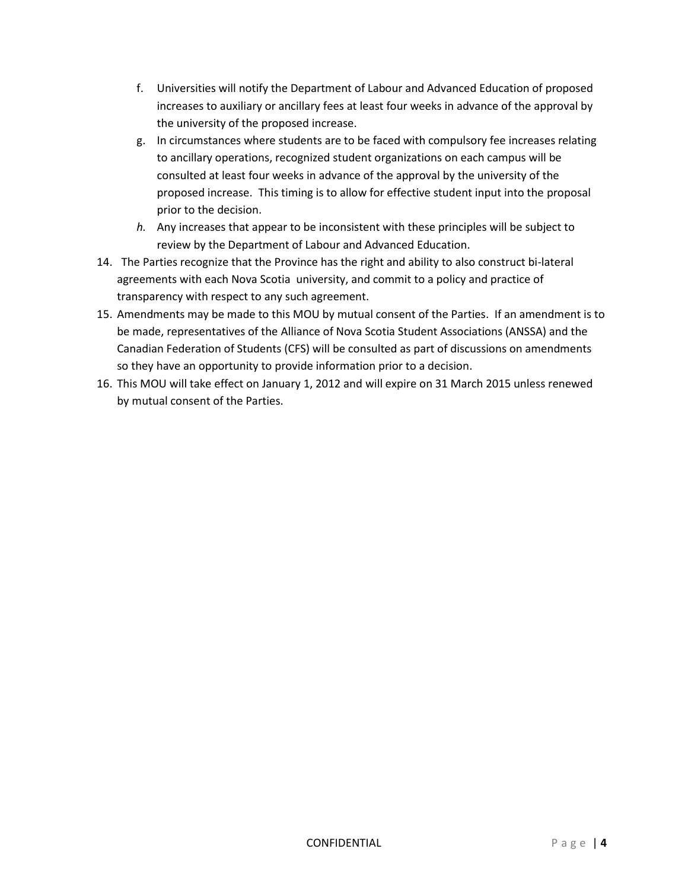- f. Universities will notify the Department of Labour and Advanced Education of proposed increases to auxiliary or ancillary fees at least four weeks in advance of the approval by the university of the proposed increase.
- g. In circumstances where students are to be faced with compulsory fee increases relating to ancillary operations, recognized student organizations on each campus will be consulted at least four weeks in advance of the approval by the university of the proposed increase. This timing is to allow for effective student input into the proposal prior to the decision.
- *h.* Any increases that appear to be inconsistent with these principles will be subject to review by the Department of Labour and Advanced Education.
- 14. The Parties recognize that the Province has the right and ability to also construct bi-lateral agreements with each Nova Scotia university, and commit to a policy and practice of transparency with respect to any such agreement.
- 15. Amendments may be made to this MOU by mutual consent of the Parties. If an amendment is to be made, representatives of the Alliance of Nova Scotia Student Associations (ANSSA) and the Canadian Federation of Students (CFS) will be consulted as part of discussions on amendments so they have an opportunity to provide information prior to a decision.
- 16. This MOU will take effect on January 1, 2012 and will expire on 31 March 2015 unless renewed by mutual consent of the Parties.